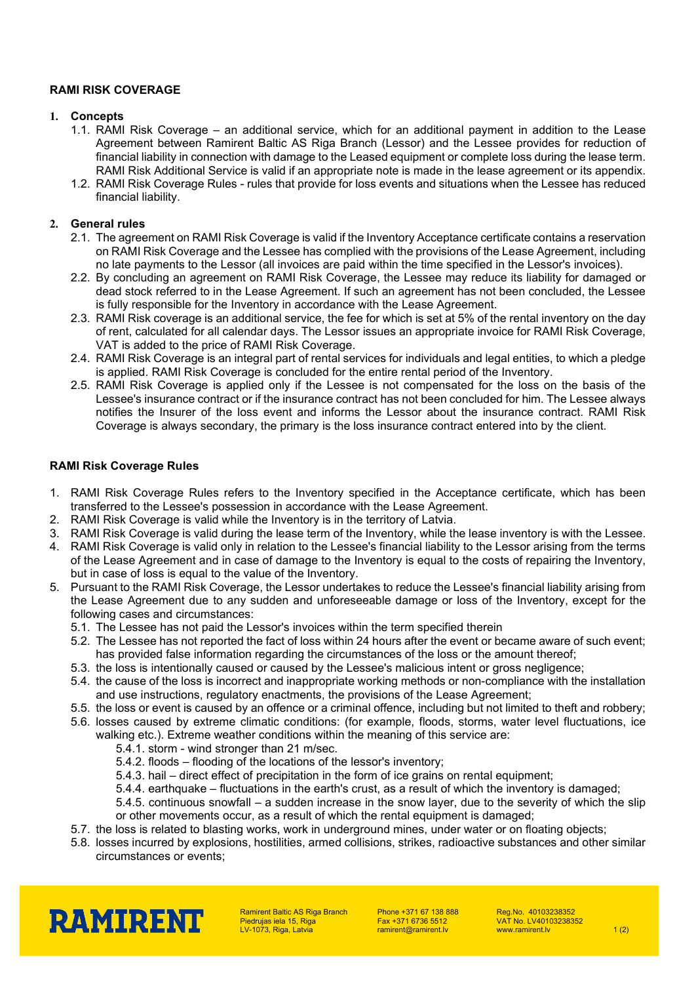# **RAMI RISK COVERAGE**

## **1. Concepts**

- 1.1. RAMI Risk Coverage an additional service, which for an additional payment in addition to the Lease Agreement between Ramirent Baltic AS Riga Branch (Lessor) and the Lessee provides for reduction of financial liability in connection with damage to the Leased equipment or complete loss during the lease term. RAMI Risk Additional Service is valid if an appropriate note is made in the lease agreement or its appendix.
- 1.2. RAMI Risk Coverage Rules rules that provide for loss events and situations when the Lessee has reduced financial liability.

# **2. General rules**

- 2.1. The agreement on RAMI Risk Coverage is valid if the Inventory Acceptance certificate contains a reservation on RAMI Risk Coverage and the Lessee has complied with the provisions of the Lease Agreement, including no late payments to the Lessor (all invoices are paid within the time specified in the Lessor's invoices).
- 2.2. By concluding an agreement on RAMI Risk Coverage, the Lessee may reduce its liability for damaged or dead stock referred to in the Lease Agreement. If such an agreement has not been concluded, the Lessee is fully responsible for the Inventory in accordance with the Lease Agreement.
- 2.3. RAMI Risk coverage is an additional service, the fee for which is set at 5% of the rental inventory on the day of rent, calculated for all calendar days. The Lessor issues an appropriate invoice for RAMI Risk Coverage, VAT is added to the price of RAMI Risk Coverage.
- 2.4. RAMI Risk Coverage is an integral part of rental services for individuals and legal entities, to which a pledge is applied. RAMI Risk Coverage is concluded for the entire rental period of the Inventory.
- 2.5. RAMI Risk Coverage is applied only if the Lessee is not compensated for the loss on the basis of the Lessee's insurance contract or if the insurance contract has not been concluded for him. The Lessee always notifies the Insurer of the loss event and informs the Lessor about the insurance contract. RAMI Risk Coverage is always secondary, the primary is the loss insurance contract entered into by the client.

## **RAMI Risk Coverage Rules**

- 1. RAMI Risk Coverage Rules refers to the Inventory specified in the Acceptance certificate, which has been transferred to the Lessee's possession in accordance with the Lease Agreement.
- 2. RAMI Risk Coverage is valid while the Inventory is in the territory of Latvia.
- 3. RAMI Risk Coverage is valid during the lease term of the Inventory, while the lease inventory is with the Lessee.
- 4. RAMI Risk Coverage is valid only in relation to the Lessee's financial liability to the Lessor arising from the terms of the Lease Agreement and in case of damage to the Inventory is equal to the costs of repairing the Inventory, but in case of loss is equal to the value of the Inventory.
- 5. Pursuant to the RAMI Risk Coverage, the Lessor undertakes to reduce the Lessee's financial liability arising from the Lease Agreement due to any sudden and unforeseeable damage or loss of the Inventory, except for the following cases and circumstances:
	- 5.1. The Lessee has not paid the Lessor's invoices within the term specified therein
	- 5.2. The Lessee has not reported the fact of loss within 24 hours after the event or became aware of such event; has provided false information regarding the circumstances of the loss or the amount thereof;
	- 5.3. the loss is intentionally caused or caused by the Lessee's malicious intent or gross negligence;
	- 5.4. the cause of the loss is incorrect and inappropriate working methods or non-compliance with the installation and use instructions, regulatory enactments, the provisions of the Lease Agreement;
	- 5.5. the loss or event is caused by an offence or a criminal offence, including but not limited to theft and robbery;
	- 5.6. losses caused by extreme climatic conditions: (for example, floods, storms, water level fluctuations, ice walking etc.). Extreme weather conditions within the meaning of this service are:
		- 5.4.1. storm wind stronger than 21 m/sec.
		- 5.4.2. floods flooding of the locations of the lessor's inventory;
		- 5.4.3. hail direct effect of precipitation in the form of ice grains on rental equipment;
		- 5.4.4. earthquake fluctuations in the earth's crust, as a result of which the inventory is damaged;
		- 5.4.5. continuous snowfall a sudden increase in the snow layer, due to the severity of which the slip or other movements occur, as a result of which the rental equipment is damaged;
	- 5.7. the loss is related to blasting works, work in underground mines, under water or on floating objects;
	- 5.8. losses incurred by explosions, hostilities, armed collisions, strikes, radioactive substances and other similar circumstances or events;



Ramirent Baltic AS Riga Branch Piedrujas iela 15, Riga LV-1073, Riga, Latvia

Phone +371 67 138 888 Fax +371 6736 5512 ramirent@ramirent.lv

Reg.No. 40103238352 VAT No. LV40103238352 www.ramirent.lv  $1(2)$